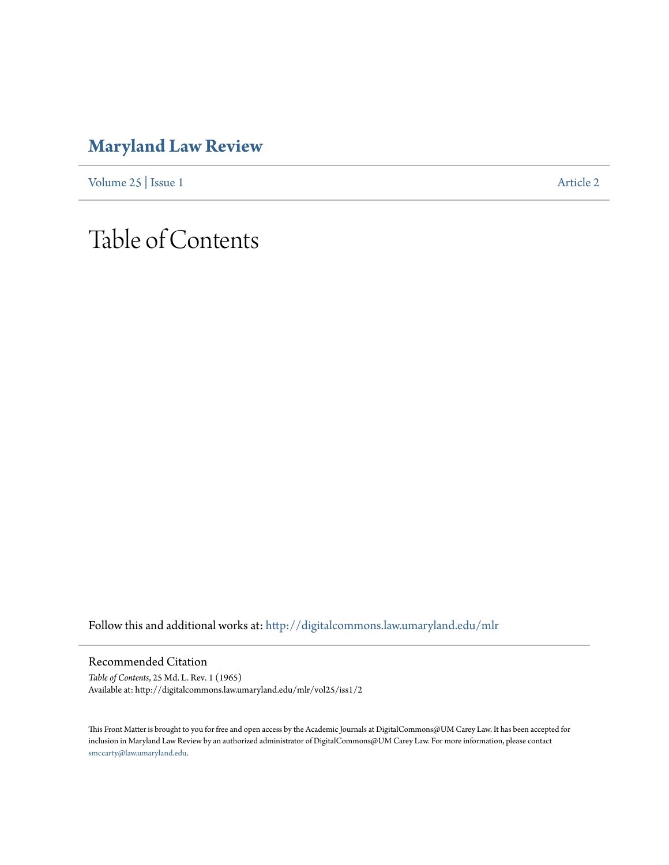## **[Maryland Law Review](http://digitalcommons.law.umaryland.edu/mlr?utm_source=digitalcommons.law.umaryland.edu%2Fmlr%2Fvol25%2Fiss1%2F2&utm_medium=PDF&utm_campaign=PDFCoverPages)**

[Volume 25](http://digitalcommons.law.umaryland.edu/mlr/vol25?utm_source=digitalcommons.law.umaryland.edu%2Fmlr%2Fvol25%2Fiss1%2F2&utm_medium=PDF&utm_campaign=PDFCoverPages) | [Issue 1](http://digitalcommons.law.umaryland.edu/mlr/vol25/iss1?utm_source=digitalcommons.law.umaryland.edu%2Fmlr%2Fvol25%2Fiss1%2F2&utm_medium=PDF&utm_campaign=PDFCoverPages) [Article 2](http://digitalcommons.law.umaryland.edu/mlr/vol25/iss1/2?utm_source=digitalcommons.law.umaryland.edu%2Fmlr%2Fvol25%2Fiss1%2F2&utm_medium=PDF&utm_campaign=PDFCoverPages)

# Table of Contents

Follow this and additional works at: [http://digitalcommons.law.umaryland.edu/mlr](http://digitalcommons.law.umaryland.edu/mlr?utm_source=digitalcommons.law.umaryland.edu%2Fmlr%2Fvol25%2Fiss1%2F2&utm_medium=PDF&utm_campaign=PDFCoverPages)

Recommended Citation

*Table of Contents*, 25 Md. L. Rev. 1 (1965) Available at: http://digitalcommons.law.umaryland.edu/mlr/vol25/iss1/2

This Front Matter is brought to you for free and open access by the Academic Journals at DigitalCommons@UM Carey Law. It has been accepted for inclusion in Maryland Law Review by an authorized administrator of DigitalCommons@UM Carey Law. For more information, please contact [smccarty@law.umaryland.edu.](mailto:smccarty@law.umaryland.edu)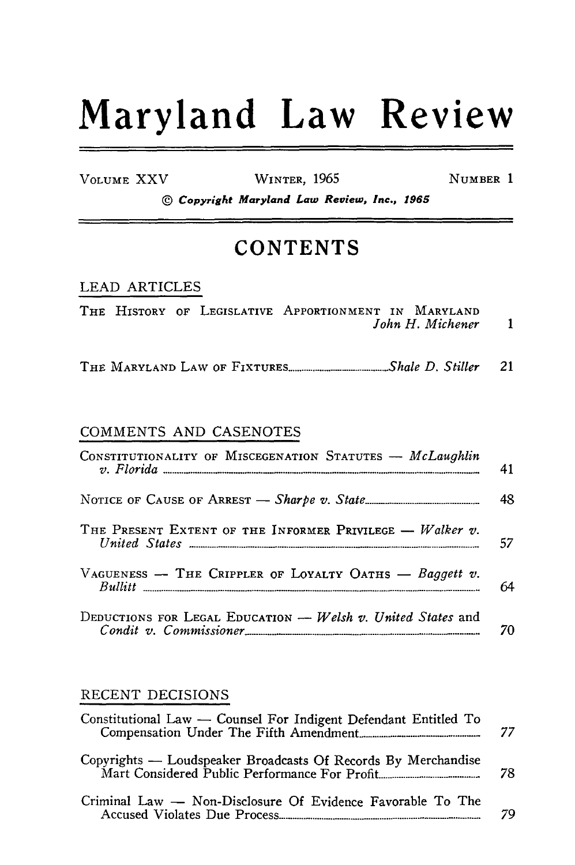# Maryland Law Review

VOLUME XXV

WINTER, 1965

NUMBER 1

© Copyright Maryland Law Review, Inc., 1965

### **CONTENTS**

#### **LEAD ARTICLES**

|  |  | THE HISTORY OF LEGISLATIVE APPORTIONMENT IN MARYLAND |  |
|--|--|------------------------------------------------------|--|
|  |  | John H. Michener                                     |  |

#### COMMENTS AND CASENOTES

| CONSTITUTIONALITY OF MISCEGENATION STATUTES - McLaughlin          | 41 |
|-------------------------------------------------------------------|----|
|                                                                   | 48 |
| THE PRESENT EXTENT OF THE INFORMER PRIVILEGE $-$ <i>Walker v.</i> | 57 |
| VAGUENESS -- THE CRIPPLER OF LOYALTY OATHS -- Baggett v.          | 64 |
| DEDUCTIONS FOR LEGAL EDUCATION $-$ Welsh v. United States and     | 70 |

#### RECENT DECISIONS

| Constitutional Law - Counsel For Indigent Defendant Entitled To                                                | 77 |
|----------------------------------------------------------------------------------------------------------------|----|
| Copyrights — Loudspeaker Broadcasts Of Records By Merchandise<br>Mart Considered Public Performance For Profit | 78 |
| Criminal Law — Non-Disclosure Of Evidence Favorable To The                                                     | 70 |